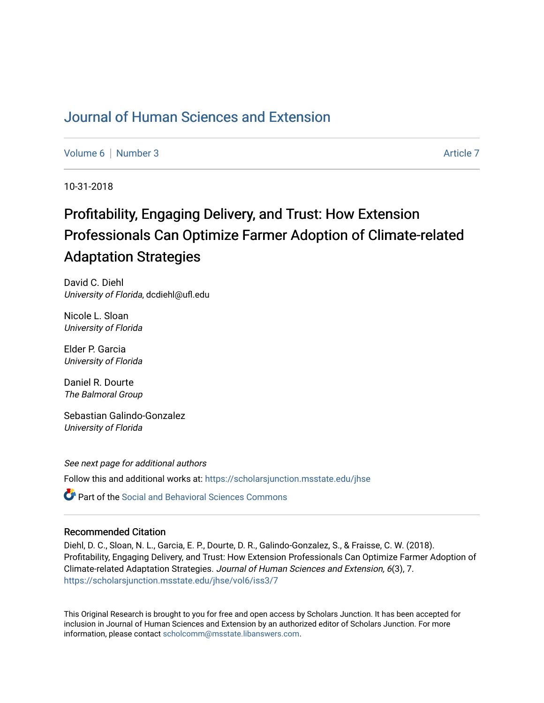# [Journal of Human Sciences and Extension](https://scholarsjunction.msstate.edu/jhse)

[Volume 6](https://scholarsjunction.msstate.edu/jhse/vol6) | [Number 3](https://scholarsjunction.msstate.edu/jhse/vol6/iss3) Article 7

10-31-2018

# Profitability, Engaging Delivery, and Trust: How Extension Professionals Can Optimize Farmer Adoption of Climate-related Adaptation Strategies

David C. Diehl University of Florida, dcdiehl@ufl.edu

Nicole L. Sloan University of Florida

Elder P. Garcia University of Florida

Daniel R. Dourte The Balmoral Group

Sebastian Galindo-Gonzalez University of Florida

See next page for additional authors Follow this and additional works at: [https://scholarsjunction.msstate.edu/jhse](https://scholarsjunction.msstate.edu/jhse?utm_source=scholarsjunction.msstate.edu%2Fjhse%2Fvol6%2Fiss3%2F7&utm_medium=PDF&utm_campaign=PDFCoverPages)

**P** Part of the Social and Behavioral Sciences Commons

### Recommended Citation

Diehl, D. C., Sloan, N. L., Garcia, E. P., Dourte, D. R., Galindo-Gonzalez, S., & Fraisse, C. W. (2018). Profitability, Engaging Delivery, and Trust: How Extension Professionals Can Optimize Farmer Adoption of Climate-related Adaptation Strategies. Journal of Human Sciences and Extension, 6(3), 7. [https://scholarsjunction.msstate.edu/jhse/vol6/iss3/7](https://scholarsjunction.msstate.edu/jhse/vol6/iss3/7?utm_source=scholarsjunction.msstate.edu%2Fjhse%2Fvol6%2Fiss3%2F7&utm_medium=PDF&utm_campaign=PDFCoverPages)

This Original Research is brought to you for free and open access by Scholars Junction. It has been accepted for inclusion in Journal of Human Sciences and Extension by an authorized editor of Scholars Junction. For more information, please contact [scholcomm@msstate.libanswers.com](mailto:scholcomm@msstate.libanswers.com).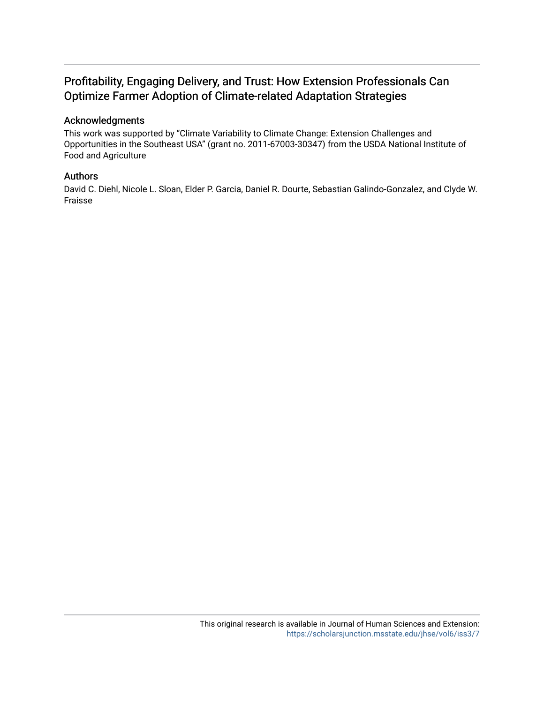# Profitability, Engaging Delivery, and Trust: How Extension Professionals Can Optimize Farmer Adoption of Climate-related Adaptation Strategies

### Acknowledgments

This work was supported by "Climate Variability to Climate Change: Extension Challenges and Opportunities in the Southeast USA" (grant no. 2011-67003-30347) from the USDA National Institute of Food and Agriculture

### Authors

David C. Diehl, Nicole L. Sloan, Elder P. Garcia, Daniel R. Dourte, Sebastian Galindo-Gonzalez, and Clyde W. Fraisse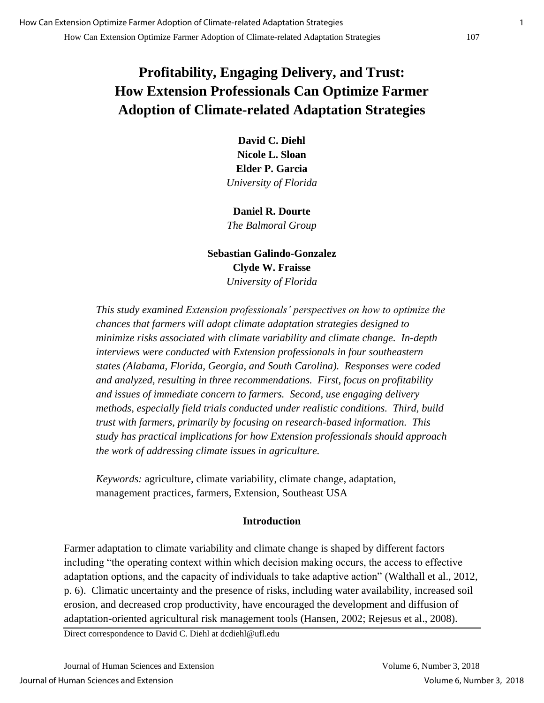# **Profitability, Engaging Delivery, and Trust: How Extension Professionals Can Optimize Farmer Adoption of Climate-related Adaptation Strategies**

**David C. Diehl Nicole L. Sloan Elder P. Garcia** *University of Florida*

**Daniel R. Dourte** *The Balmoral Group*

# **Sebastian Galindo-Gonzalez Clyde W. Fraisse** *University of Florida*

*This study examined Extension professionals' perspectives on how to optimize the chances that farmers will adopt climate adaptation strategies designed to minimize risks associated with climate variability and climate change. In-depth interviews were conducted with Extension professionals in four southeastern states (Alabama, Florida, Georgia, and South Carolina). Responses were coded and analyzed, resulting in three recommendations. First, focus on profitability and issues of immediate concern to farmers. Second, use engaging delivery methods, especially field trials conducted under realistic conditions. Third, build trust with farmers, primarily by focusing on research-based information. This study has practical implications for how Extension professionals should approach the work of addressing climate issues in agriculture.*

*Keywords:* agriculture, climate variability, climate change, adaptation, management practices, farmers, Extension, Southeast USA

# **Introduction**

Farmer adaptation to climate variability and climate change is shaped by different factors including "the operating context within which decision making occurs, the access to effective adaptation options, and the capacity of individuals to take adaptive action" (Walthall et al., 2012, p. 6). Climatic uncertainty and the presence of risks, including water availability, increased soil erosion, and decreased crop productivity, have encouraged the development and diffusion of adaptation-oriented agricultural risk management tools (Hansen, 2002; Rejesus et al., 2008).

Direct correspondence to David C. Diehl at dcdiehl@ufl.edu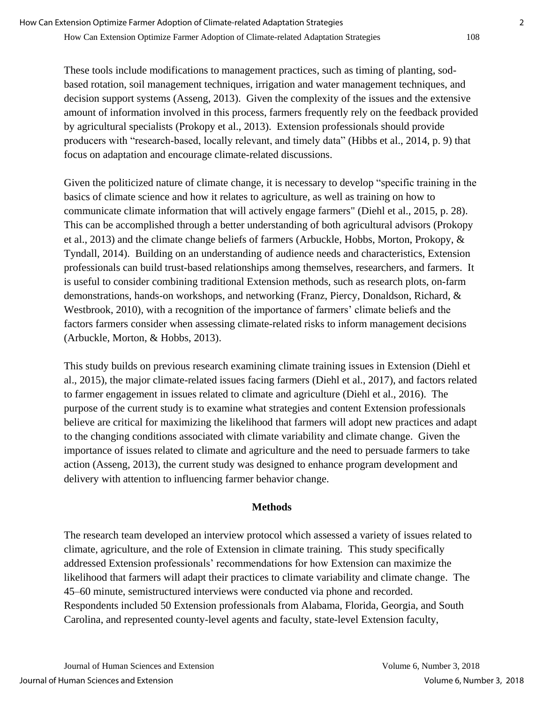These tools include modifications to management practices, such as timing of planting, sodbased rotation, soil management techniques, irrigation and water management techniques, and decision support systems (Asseng, 2013). Given the complexity of the issues and the extensive amount of information involved in this process, farmers frequently rely on the feedback provided by agricultural specialists (Prokopy et al., 2013). Extension professionals should provide producers with "research-based, locally relevant, and timely data" (Hibbs et al., 2014, p. 9) that focus on adaptation and encourage climate-related discussions.

Given the politicized nature of climate change, it is necessary to develop "specific training in the basics of climate science and how it relates to agriculture, as well as training on how to communicate climate information that will actively engage farmers" (Diehl et al., 2015, p. 28). This can be accomplished through a better understanding of both agricultural advisors (Prokopy et al., 2013) and the climate change beliefs of farmers (Arbuckle, Hobbs, Morton, Prokopy, & Tyndall, 2014). Building on an understanding of audience needs and characteristics, Extension professionals can build trust-based relationships among themselves, researchers, and farmers. It is useful to consider combining traditional Extension methods, such as research plots, on-farm demonstrations, hands-on workshops, and networking (Franz, Piercy, Donaldson, Richard, & Westbrook, 2010), with a recognition of the importance of farmers' climate beliefs and the factors farmers consider when assessing climate-related risks to inform management decisions (Arbuckle, Morton, & Hobbs, 2013).

This study builds on previous research examining climate training issues in Extension (Diehl et al., 2015), the major climate-related issues facing farmers (Diehl et al., 2017), and factors related to farmer engagement in issues related to climate and agriculture (Diehl et al., 2016). The purpose of the current study is to examine what strategies and content Extension professionals believe are critical for maximizing the likelihood that farmers will adopt new practices and adapt to the changing conditions associated with climate variability and climate change. Given the importance of issues related to climate and agriculture and the need to persuade farmers to take action (Asseng, 2013), the current study was designed to enhance program development and delivery with attention to influencing farmer behavior change.

## **Methods**

The research team developed an interview protocol which assessed a variety of issues related to climate, agriculture, and the role of Extension in climate training. This study specifically addressed Extension professionals' recommendations for how Extension can maximize the likelihood that farmers will adapt their practices to climate variability and climate change. The 45–60 minute, semistructured interviews were conducted via phone and recorded. Respondents included 50 Extension professionals from Alabama, Florida, Georgia, and South Carolina, and represented county-level agents and faculty, state-level Extension faculty,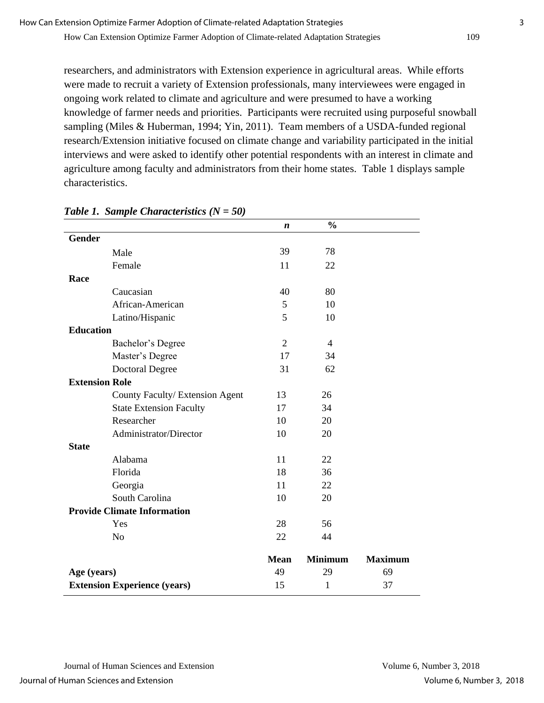researchers, and administrators with Extension experience in agricultural areas. While efforts were made to recruit a variety of Extension professionals, many interviewees were engaged in ongoing work related to climate and agriculture and were presumed to have a working knowledge of farmer needs and priorities. Participants were recruited using purposeful snowball sampling (Miles & Huberman, 1994; Yin, 2011). Team members of a USDA-funded regional research/Extension initiative focused on climate change and variability participated in the initial interviews and were asked to identify other potential respondents with an interest in climate and agriculture among faculty and administrators from their home states. Table 1 displays sample characteristics.

|                                     |                                 | $\boldsymbol{n}$ | $\frac{0}{0}$  |                |
|-------------------------------------|---------------------------------|------------------|----------------|----------------|
| <b>Gender</b>                       |                                 |                  |                |                |
|                                     | Male                            | 39               | 78             |                |
|                                     | Female                          | 11               | 22             |                |
| Race                                |                                 |                  |                |                |
|                                     | Caucasian                       | 40               | 80             |                |
|                                     | African-American                | 5                | 10             |                |
|                                     | Latino/Hispanic                 | 5                | 10             |                |
| <b>Education</b>                    |                                 |                  |                |                |
|                                     | Bachelor's Degree               | $\overline{2}$   | $\overline{4}$ |                |
|                                     | Master's Degree                 | 17               | 34             |                |
|                                     | <b>Doctoral Degree</b>          | 31               | 62             |                |
| <b>Extension Role</b>               |                                 |                  |                |                |
|                                     | County Faculty/ Extension Agent | 13               | 26             |                |
|                                     | <b>State Extension Faculty</b>  | 17               | 34             |                |
|                                     | Researcher                      | 10               | 20             |                |
|                                     | Administrator/Director          | 10               | 20             |                |
| <b>State</b>                        |                                 |                  |                |                |
|                                     | Alabama                         | 11               | 22             |                |
|                                     | Florida                         | 18               | 36             |                |
|                                     | Georgia                         | 11               | 22             |                |
|                                     | South Carolina                  | 10               | 20             |                |
| <b>Provide Climate Information</b>  |                                 |                  |                |                |
|                                     | Yes                             | 28               | 56             |                |
|                                     | N <sub>o</sub>                  | 22               | 44             |                |
|                                     |                                 | <b>Mean</b>      | <b>Minimum</b> | <b>Maximum</b> |
| Age (years)                         |                                 | 49               | 29             | 69             |
| <b>Extension Experience (years)</b> |                                 | 15               | 1              | 37             |

### *Table 1. Sample Characteristics (N = 50)*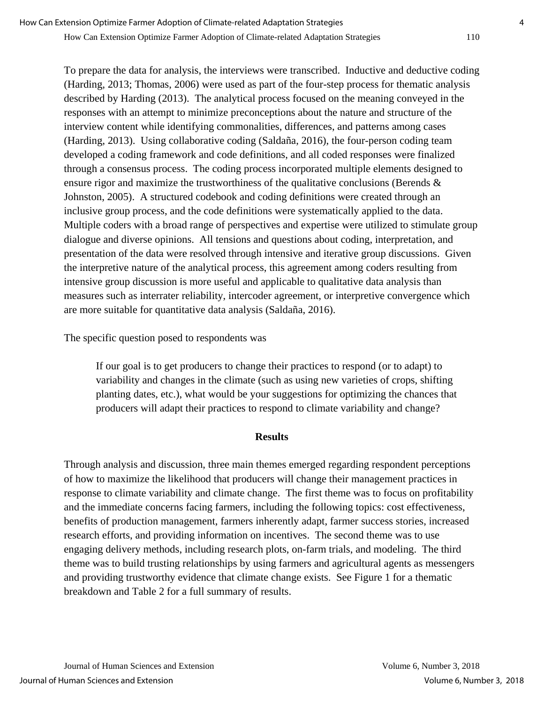To prepare the data for analysis, the interviews were transcribed. Inductive and deductive coding

(Harding, 2013; Thomas, 2006) were used as part of the four-step process for thematic analysis described by Harding (2013). The analytical process focused on the meaning conveyed in the responses with an attempt to minimize preconceptions about the nature and structure of the interview content while identifying commonalities, differences, and patterns among cases (Harding, 2013). Using collaborative coding (Saldaña, 2016), the four-person coding team developed a coding framework and code definitions, and all coded responses were finalized through a consensus process. The coding process incorporated multiple elements designed to ensure rigor and maximize the trustworthiness of the qualitative conclusions (Berends & Johnston, 2005). A structured codebook and coding definitions were created through an inclusive group process, and the code definitions were systematically applied to the data. Multiple coders with a broad range of perspectives and expertise were utilized to stimulate group dialogue and diverse opinions. All tensions and questions about coding, interpretation, and presentation of the data were resolved through intensive and iterative group discussions. Given the interpretive nature of the analytical process, this agreement among coders resulting from intensive group discussion is more useful and applicable to qualitative data analysis than measures such as interrater reliability, intercoder agreement, or interpretive convergence which are more suitable for quantitative data analysis (Saldaña, 2016).

The specific question posed to respondents was

If our goal is to get producers to change their practices to respond (or to adapt) to variability and changes in the climate (such as using new varieties of crops, shifting planting dates, etc.), what would be your suggestions for optimizing the chances that producers will adapt their practices to respond to climate variability and change?

## **Results**

Through analysis and discussion, three main themes emerged regarding respondent perceptions of how to maximize the likelihood that producers will change their management practices in response to climate variability and climate change. The first theme was to focus on profitability and the immediate concerns facing farmers, including the following topics: cost effectiveness, benefits of production management, farmers inherently adapt, farmer success stories, increased research efforts, and providing information on incentives. The second theme was to use engaging delivery methods, including research plots, on-farm trials, and modeling. The third theme was to build trusting relationships by using farmers and agricultural agents as messengers and providing trustworthy evidence that climate change exists. See Figure 1 for a thematic breakdown and Table 2 for a full summary of results.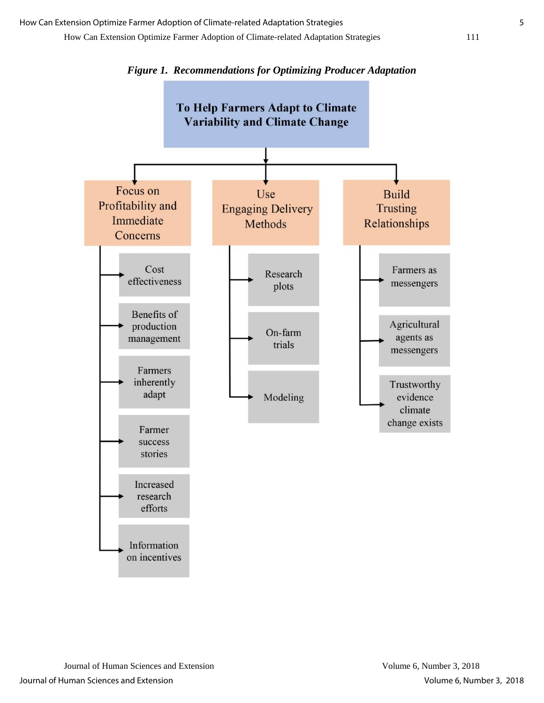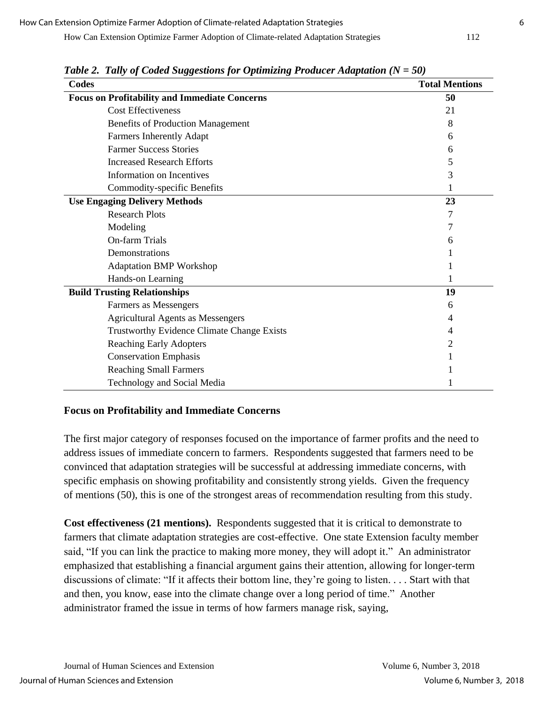| Codes                                                | <b>Total Mentions</b> |
|------------------------------------------------------|-----------------------|
| <b>Focus on Profitability and Immediate Concerns</b> | 50                    |
| <b>Cost Effectiveness</b>                            | 21                    |
| <b>Benefits of Production Management</b>             | 8                     |
| Farmers Inherently Adapt                             | 6                     |
| <b>Farmer Success Stories</b>                        | 6                     |
| <b>Increased Research Efforts</b>                    | 5                     |
| Information on Incentives                            | 3                     |
| Commodity-specific Benefits                          |                       |
| <b>Use Engaging Delivery Methods</b>                 | 23                    |
| <b>Research Plots</b>                                |                       |
| Modeling                                             |                       |
| On-farm Trials                                       | 6                     |
| Demonstrations                                       |                       |
| <b>Adaptation BMP Workshop</b>                       |                       |
| Hands-on Learning                                    |                       |
| <b>Build Trusting Relationships</b>                  | 19                    |
| Farmers as Messengers                                | 6                     |
| <b>Agricultural Agents as Messengers</b>             | 4                     |
| <b>Trustworthy Evidence Climate Change Exists</b>    | 4                     |
| <b>Reaching Early Adopters</b>                       | 2                     |
| <b>Conservation Emphasis</b>                         |                       |
| <b>Reaching Small Farmers</b>                        |                       |
| <b>Technology and Social Media</b>                   |                       |

*Table 2. Tally of Coded Suggestions for Optimizing Producer Adaptation (N = 50)*

## **Focus on Profitability and Immediate Concerns**

The first major category of responses focused on the importance of farmer profits and the need to address issues of immediate concern to farmers. Respondents suggested that farmers need to be convinced that adaptation strategies will be successful at addressing immediate concerns, with specific emphasis on showing profitability and consistently strong yields. Given the frequency of mentions (50), this is one of the strongest areas of recommendation resulting from this study.

**Cost effectiveness (21 mentions).** Respondents suggested that it is critical to demonstrate to farmers that climate adaptation strategies are cost-effective. One state Extension faculty member said, "If you can link the practice to making more money, they will adopt it." An administrator emphasized that establishing a financial argument gains their attention, allowing for longer-term discussions of climate: "If it affects their bottom line, they're going to listen. . . . Start with that and then, you know, ease into the climate change over a long period of time." Another administrator framed the issue in terms of how farmers manage risk, saying,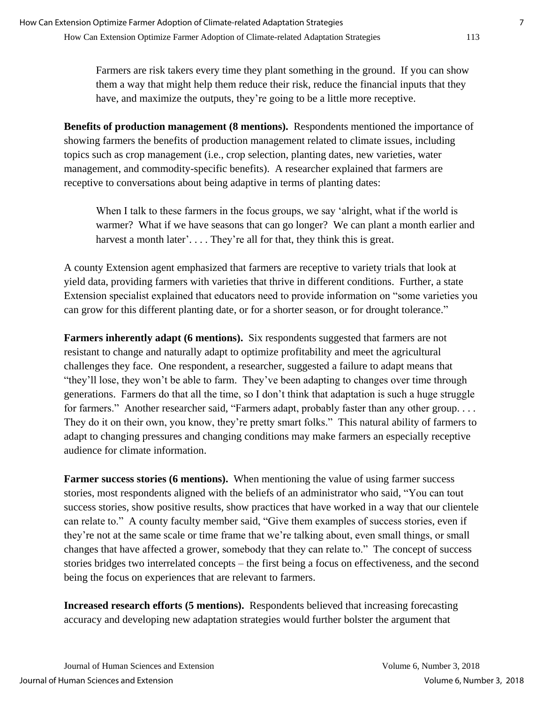Farmers are risk takers every time they plant something in the ground. If you can show them a way that might help them reduce their risk, reduce the financial inputs that they have, and maximize the outputs, they're going to be a little more receptive.

**Benefits of production management (8 mentions).** Respondents mentioned the importance of showing farmers the benefits of production management related to climate issues, including topics such as crop management (i.e., crop selection, planting dates, new varieties, water management, and commodity-specific benefits). A researcher explained that farmers are receptive to conversations about being adaptive in terms of planting dates:

When I talk to these farmers in the focus groups, we say 'alright, what if the world is warmer? What if we have seasons that can go longer? We can plant a month earlier and harvest a month later'.... They're all for that, they think this is great.

A county Extension agent emphasized that farmers are receptive to variety trials that look at yield data, providing farmers with varieties that thrive in different conditions. Further, a state Extension specialist explained that educators need to provide information on "some varieties you can grow for this different planting date, or for a shorter season, or for drought tolerance."

**Farmers inherently adapt (6 mentions).** Six respondents suggested that farmers are not resistant to change and naturally adapt to optimize profitability and meet the agricultural challenges they face. One respondent, a researcher, suggested a failure to adapt means that "they'll lose, they won't be able to farm. They've been adapting to changes over time through generations. Farmers do that all the time, so I don't think that adaptation is such a huge struggle for farmers." Another researcher said, "Farmers adapt, probably faster than any other group. . . . They do it on their own, you know, they're pretty smart folks." This natural ability of farmers to adapt to changing pressures and changing conditions may make farmers an especially receptive audience for climate information.

**Farmer success stories (6 mentions).** When mentioning the value of using farmer success stories, most respondents aligned with the beliefs of an administrator who said, "You can tout success stories, show positive results, show practices that have worked in a way that our clientele can relate to." A county faculty member said, "Give them examples of success stories, even if they're not at the same scale or time frame that we're talking about, even small things, or small changes that have affected a grower, somebody that they can relate to." The concept of success stories bridges two interrelated concepts – the first being a focus on effectiveness, and the second being the focus on experiences that are relevant to farmers.

**Increased research efforts (5 mentions).** Respondents believed that increasing forecasting accuracy and developing new adaptation strategies would further bolster the argument that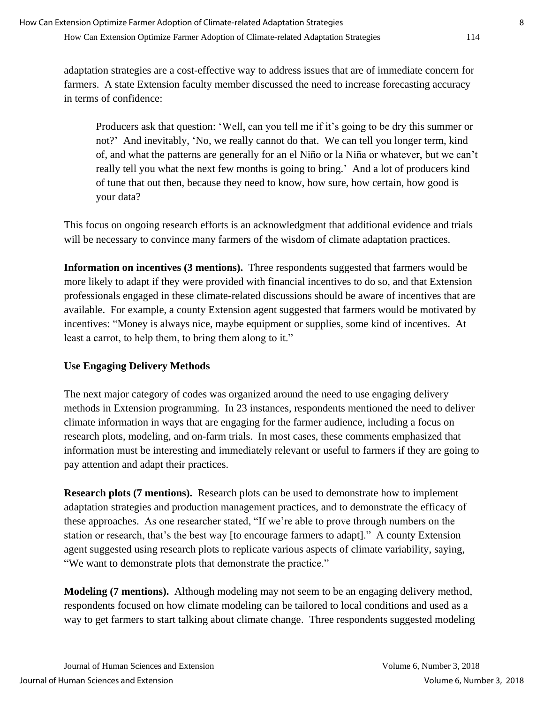adaptation strategies are a cost-effective way to address issues that are of immediate concern for farmers. A state Extension faculty member discussed the need to increase forecasting accuracy in terms of confidence:

Producers ask that question: 'Well, can you tell me if it's going to be dry this summer or not?' And inevitably, 'No, we really cannot do that. We can tell you longer term, kind of, and what the patterns are generally for an el Niño or la Niña or whatever, but we can't really tell you what the next few months is going to bring.' And a lot of producers kind of tune that out then, because they need to know, how sure, how certain, how good is your data?

This focus on ongoing research efforts is an acknowledgment that additional evidence and trials will be necessary to convince many farmers of the wisdom of climate adaptation practices.

**Information on incentives (3 mentions).** Three respondents suggested that farmers would be more likely to adapt if they were provided with financial incentives to do so, and that Extension professionals engaged in these climate-related discussions should be aware of incentives that are available. For example, a county Extension agent suggested that farmers would be motivated by incentives: "Money is always nice, maybe equipment or supplies, some kind of incentives. At least a carrot, to help them, to bring them along to it."

# **Use Engaging Delivery Methods**

The next major category of codes was organized around the need to use engaging delivery methods in Extension programming. In 23 instances, respondents mentioned the need to deliver climate information in ways that are engaging for the farmer audience, including a focus on research plots, modeling, and on-farm trials. In most cases, these comments emphasized that information must be interesting and immediately relevant or useful to farmers if they are going to pay attention and adapt their practices.

**Research plots (7 mentions).** Research plots can be used to demonstrate how to implement adaptation strategies and production management practices, and to demonstrate the efficacy of these approaches. As one researcher stated, "If we're able to prove through numbers on the station or research, that's the best way [to encourage farmers to adapt]." A county Extension agent suggested using research plots to replicate various aspects of climate variability, saying, "We want to demonstrate plots that demonstrate the practice."

**Modeling (7 mentions).** Although modeling may not seem to be an engaging delivery method, respondents focused on how climate modeling can be tailored to local conditions and used as a way to get farmers to start talking about climate change. Three respondents suggested modeling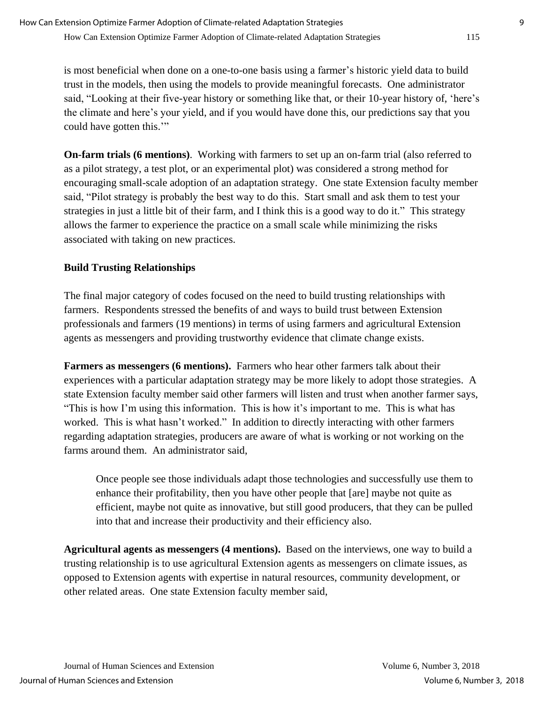is most beneficial when done on a one-to-one basis using a farmer's historic yield data to build trust in the models, then using the models to provide meaningful forecasts. One administrator said, "Looking at their five-year history or something like that, or their 10-year history of, 'here's the climate and here's your yield, and if you would have done this, our predictions say that you could have gotten this.'"

**On-farm trials (6 mentions)**. Working with farmers to set up an on-farm trial (also referred to as a pilot strategy, a test plot, or an experimental plot) was considered a strong method for encouraging small-scale adoption of an adaptation strategy. One state Extension faculty member said, "Pilot strategy is probably the best way to do this. Start small and ask them to test your strategies in just a little bit of their farm, and I think this is a good way to do it." This strategy allows the farmer to experience the practice on a small scale while minimizing the risks associated with taking on new practices.

# **Build Trusting Relationships**

The final major category of codes focused on the need to build trusting relationships with farmers. Respondents stressed the benefits of and ways to build trust between Extension professionals and farmers (19 mentions) in terms of using farmers and agricultural Extension agents as messengers and providing trustworthy evidence that climate change exists.

**Farmers as messengers (6 mentions).** Farmers who hear other farmers talk about their experiences with a particular adaptation strategy may be more likely to adopt those strategies. A state Extension faculty member said other farmers will listen and trust when another farmer says, "This is how I'm using this information. This is how it's important to me. This is what has worked. This is what hasn't worked." In addition to directly interacting with other farmers regarding adaptation strategies, producers are aware of what is working or not working on the farms around them. An administrator said,

Once people see those individuals adapt those technologies and successfully use them to enhance their profitability, then you have other people that [are] maybe not quite as efficient, maybe not quite as innovative, but still good producers, that they can be pulled into that and increase their productivity and their efficiency also.

**Agricultural agents as messengers (4 mentions).** Based on the interviews, one way to build a trusting relationship is to use agricultural Extension agents as messengers on climate issues, as opposed to Extension agents with expertise in natural resources, community development, or other related areas. One state Extension faculty member said,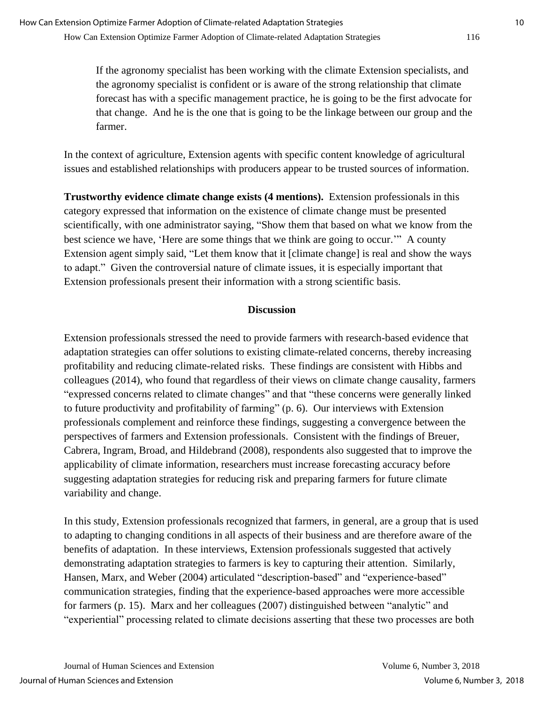If the agronomy specialist has been working with the climate Extension specialists, and the agronomy specialist is confident or is aware of the strong relationship that climate forecast has with a specific management practice, he is going to be the first advocate for that change. And he is the one that is going to be the linkage between our group and the farmer.

In the context of agriculture, Extension agents with specific content knowledge of agricultural issues and established relationships with producers appear to be trusted sources of information.

**Trustworthy evidence climate change exists (4 mentions).** Extension professionals in this category expressed that information on the existence of climate change must be presented scientifically, with one administrator saying, "Show them that based on what we know from the best science we have, 'Here are some things that we think are going to occur.'" A county Extension agent simply said, "Let them know that it [climate change] is real and show the ways to adapt." Given the controversial nature of climate issues, it is especially important that Extension professionals present their information with a strong scientific basis.

## **Discussion**

Extension professionals stressed the need to provide farmers with research-based evidence that adaptation strategies can offer solutions to existing climate-related concerns, thereby increasing profitability and reducing climate-related risks. These findings are consistent with Hibbs and colleagues (2014), who found that regardless of their views on climate change causality, farmers "expressed concerns related to climate changes" and that "these concerns were generally linked to future productivity and profitability of farming" (p. 6). Our interviews with Extension professionals complement and reinforce these findings, suggesting a convergence between the perspectives of farmers and Extension professionals. Consistent with the findings of Breuer, Cabrera, Ingram, Broad, and Hildebrand (2008), respondents also suggested that to improve the applicability of climate information, researchers must increase forecasting accuracy before suggesting adaptation strategies for reducing risk and preparing farmers for future climate variability and change.

In this study, Extension professionals recognized that farmers, in general, are a group that is used to adapting to changing conditions in all aspects of their business and are therefore aware of the benefits of adaptation. In these interviews, Extension professionals suggested that actively demonstrating adaptation strategies to farmers is key to capturing their attention. Similarly, Hansen, Marx, and Weber (2004) articulated "description-based" and "experience-based" communication strategies, finding that the experience-based approaches were more accessible for farmers (p. 15). Marx and her colleagues (2007) distinguished between "analytic" and "experiential" processing related to climate decisions asserting that these two processes are both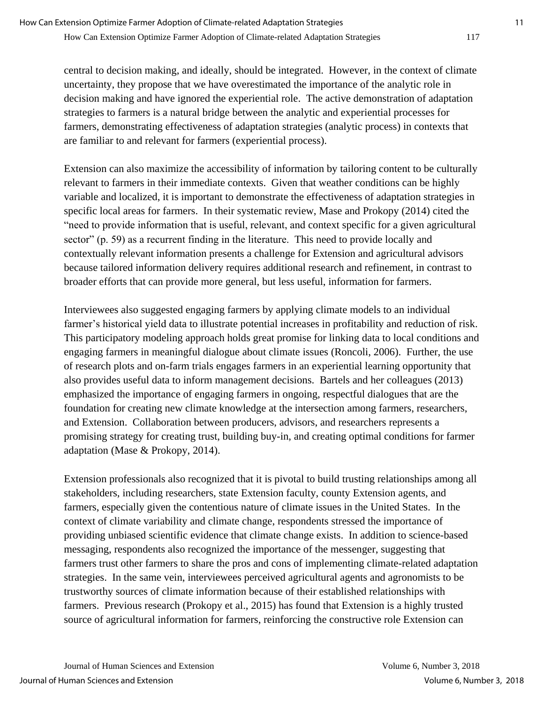central to decision making, and ideally, should be integrated. However, in the context of climate uncertainty, they propose that we have overestimated the importance of the analytic role in decision making and have ignored the experiential role. The active demonstration of adaptation strategies to farmers is a natural bridge between the analytic and experiential processes for farmers, demonstrating effectiveness of adaptation strategies (analytic process) in contexts that are familiar to and relevant for farmers (experiential process).

Extension can also maximize the accessibility of information by tailoring content to be culturally relevant to farmers in their immediate contexts. Given that weather conditions can be highly variable and localized, it is important to demonstrate the effectiveness of adaptation strategies in specific local areas for farmers. In their systematic review, Mase and Prokopy (2014) cited the "need to provide information that is useful, relevant, and context specific for a given agricultural sector" (p. 59) as a recurrent finding in the literature. This need to provide locally and contextually relevant information presents a challenge for Extension and agricultural advisors because tailored information delivery requires additional research and refinement, in contrast to broader efforts that can provide more general, but less useful, information for farmers.

Interviewees also suggested engaging farmers by applying climate models to an individual farmer's historical yield data to illustrate potential increases in profitability and reduction of risk. This participatory modeling approach holds great promise for linking data to local conditions and engaging farmers in meaningful dialogue about climate issues (Roncoli, 2006). Further, the use of research plots and on-farm trials engages farmers in an experiential learning opportunity that also provides useful data to inform management decisions. Bartels and her colleagues (2013) emphasized the importance of engaging farmers in ongoing, respectful dialogues that are the foundation for creating new climate knowledge at the intersection among farmers, researchers, and Extension. Collaboration between producers, advisors, and researchers represents a promising strategy for creating trust, building buy-in, and creating optimal conditions for farmer adaptation (Mase & Prokopy, 2014).

Extension professionals also recognized that it is pivotal to build trusting relationships among all stakeholders, including researchers, state Extension faculty, county Extension agents, and farmers, especially given the contentious nature of climate issues in the United States. In the context of climate variability and climate change, respondents stressed the importance of providing unbiased scientific evidence that climate change exists. In addition to science-based messaging, respondents also recognized the importance of the messenger, suggesting that farmers trust other farmers to share the pros and cons of implementing climate-related adaptation strategies. In the same vein, interviewees perceived agricultural agents and agronomists to be trustworthy sources of climate information because of their established relationships with farmers. Previous research (Prokopy et al., 2015) has found that Extension is a highly trusted source of agricultural information for farmers, reinforcing the constructive role Extension can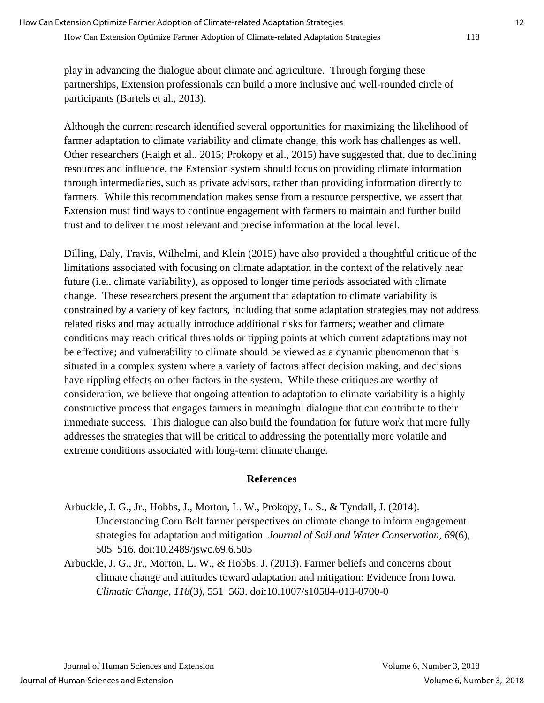play in advancing the dialogue about climate and agriculture. Through forging these partnerships, Extension professionals can build a more inclusive and well-rounded circle of participants (Bartels et al., 2013).

Although the current research identified several opportunities for maximizing the likelihood of farmer adaptation to climate variability and climate change, this work has challenges as well. Other researchers (Haigh et al., 2015; Prokopy et al., 2015) have suggested that, due to declining resources and influence, the Extension system should focus on providing climate information through intermediaries, such as private advisors, rather than providing information directly to farmers. While this recommendation makes sense from a resource perspective, we assert that Extension must find ways to continue engagement with farmers to maintain and further build trust and to deliver the most relevant and precise information at the local level.

Dilling, Daly, Travis, Wilhelmi, and Klein (2015) have also provided a thoughtful critique of the limitations associated with focusing on climate adaptation in the context of the relatively near future (i.e., climate variability), as opposed to longer time periods associated with climate change. These researchers present the argument that adaptation to climate variability is constrained by a variety of key factors, including that some adaptation strategies may not address related risks and may actually introduce additional risks for farmers; weather and climate conditions may reach critical thresholds or tipping points at which current adaptations may not be effective; and vulnerability to climate should be viewed as a dynamic phenomenon that is situated in a complex system where a variety of factors affect decision making, and decisions have rippling effects on other factors in the system. While these critiques are worthy of consideration, we believe that ongoing attention to adaptation to climate variability is a highly constructive process that engages farmers in meaningful dialogue that can contribute to their immediate success. This dialogue can also build the foundation for future work that more fully addresses the strategies that will be critical to addressing the potentially more volatile and extreme conditions associated with long-term climate change.

### **References**

- Arbuckle, J. G., Jr., Hobbs, J., Morton, L. W., Prokopy, L. S., & Tyndall, J. (2014). Understanding Corn Belt farmer perspectives on climate change to inform engagement strategies for adaptation and mitigation. *Journal of Soil and Water Conservation, 69*(6), 505–516. doi:10.2489/jswc.69.6.505
- Arbuckle, J. G., Jr., Morton, L. W., & Hobbs, J. (2013). Farmer beliefs and concerns about climate change and attitudes toward adaptation and mitigation: Evidence from Iowa. *Climatic Change, 118*(3), 551–563. doi:10.1007/s10584-013-0700-0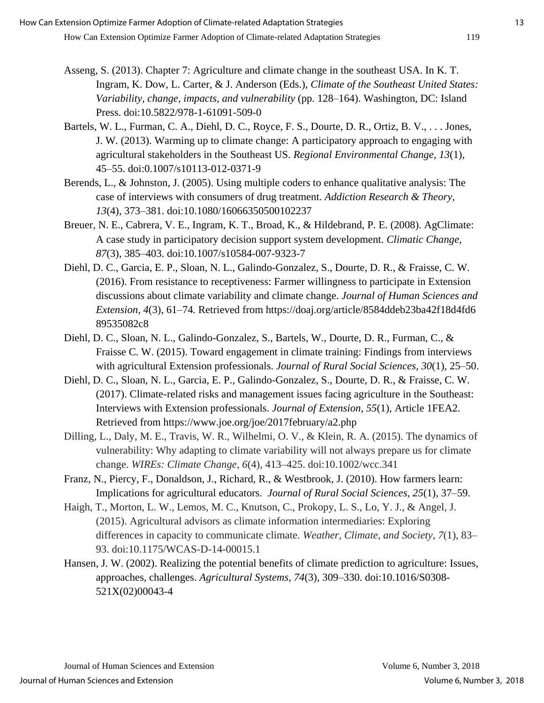- Asseng, S. (2013). Chapter 7: Agriculture and climate change in the southeast USA. In K. T. Ingram, K. Dow, L. Carter, & J. Anderson (Eds.), *Climate of the Southeast United States: Variability, change, impacts, and vulnerability* (pp. 128–164). Washington, DC: Island Press. doi:10.5822/978-1-61091-509-0
- Bartels, W. L., Furman, C. A., Diehl, D. C., Royce, F. S., Dourte, D. R., Ortiz, B. V., . . . Jones, J. W. (2013). Warming up to climate change: A participatory approach to engaging with agricultural stakeholders in the Southeast US. *Regional Environmental Change, 13*(1), 45–55. doi:0.1007/s10113-012-0371-9
- Berends, L., & Johnston, J. (2005). Using multiple coders to enhance qualitative analysis: The case of interviews with consumers of drug treatment. *Addiction Research & Theory, 13*(4), 373–381. doi:10.1080/16066350500102237
- Breuer, N. E., Cabrera, V. E., Ingram, K. T., Broad, K., & Hildebrand, P. E. (2008). AgClimate: A case study in participatory decision support system development. *Climatic Change, 87*(3), 385–403. doi:10.1007/s10584-007-9323-7
- Diehl, D. C., Garcia, E. P., Sloan, N. L., Galindo-Gonzalez, S., Dourte, D. R., & Fraisse, C. W. (2016). From resistance to receptiveness: Farmer willingness to participate in Extension discussions about climate variability and climate change. *Journal of Human Sciences and Extension, 4*(3), 61–74*.* Retrieved from https://doaj.org/article/8584ddeb23ba42f18d4fd6 89535082c8
- Diehl, D. C., Sloan, N. L., Galindo-Gonzalez, S., Bartels, W., Dourte, D. R., Furman, C., & Fraisse C. W. (2015). Toward engagement in climate training: Findings from interviews with agricultural Extension professionals. *Journal of Rural Social Sciences, 30*(1), 25–50.
- Diehl, D. C., Sloan, N. L., Garcia, E. P., Galindo-Gonzalez, S., Dourte, D. R., & Fraisse, C. W. (2017). Climate-related risks and management issues facing agriculture in the Southeast: Interviews with Extension professionals. *Journal of Extension, 55*(1), Article 1FEA2. Retrieved from<https://www.joe.org/joe/2017february/a2.php>
- Dilling, L., Daly, M. E., Travis, W. R., Wilhelmi, O. V., & Klein, R. A. (2015). The dynamics of vulnerability: Why adapting to climate variability will not always prepare us for climate change. *WIREs: Climate Change*, *6*(4), 413–425. doi:10.1002/wcc.341
- Franz, N., Piercy, F., Donaldson, J., Richard, R., & Westbrook, J. (2010). How farmers learn: Implications for agricultural educators. *Journal of Rural Social Sciences, 25*(1), 37–59.
- Haigh, T., Morton, L. W., Lemos, M. C., Knutson, C., Prokopy, L. S., Lo, Y. J., & Angel, J. (2015). Agricultural advisors as climate information intermediaries: Exploring differences in capacity to communicate climate. *Weather, Climate, and Society*, *7*(1), 83– 93. doi:10.1175/WCAS-D-14-00015.1
- Hansen, J. W. (2002). Realizing the potential benefits of climate prediction to agriculture: Issues, approaches, challenges. *Agricultural Systems, 74*(3), 309–330. doi:10.1016/S0308- 521X(02)00043-4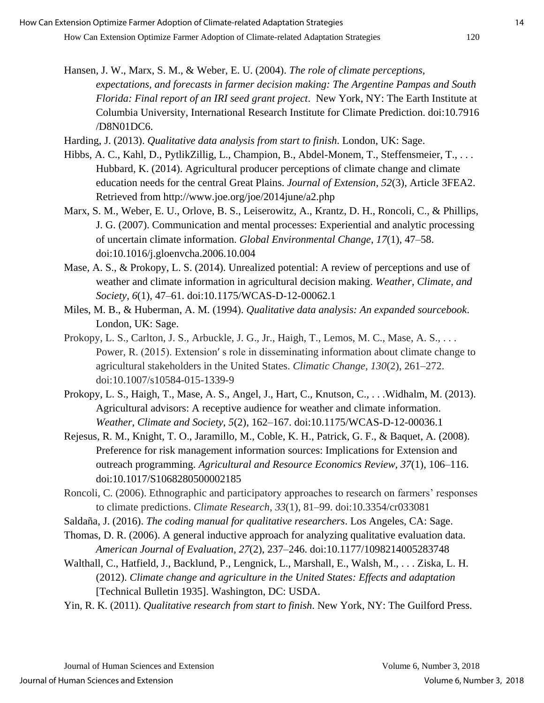- Hansen, J. W., Marx, S. M., & Weber, E. U. (2004). *The role of climate perceptions, expectations, and forecasts in farmer decision making: The Argentine Pampas and South Florida: Final report of an IRI seed grant project*. New York, NY: The Earth Institute at Columbia University, International Research Institute for Climate Prediction. doi:10.7916 /D8N01DC6.
- Harding, J. (2013). *Qualitative data analysis from start to finish*. London, UK: Sage.
- Hibbs, A. C., Kahl, D., PytlikZillig, L., Champion, B., Abdel-Monem, T., Steffensmeier, T., . . . Hubbard, K. (2014). Agricultural producer perceptions of climate change and climate education needs for the central Great Plains. *Journal of Extension, 52*(3), Article 3FEA2. Retrieved from<http://www.joe.org/joe/2014june/a2.php>
- Marx, S. M., Weber, E. U., Orlove, B. S., Leiserowitz, A., Krantz, D. H., Roncoli, C., & Phillips, J. G. (2007). Communication and mental processes: Experiential and analytic processing of uncertain climate information. *Global Environmental Change*, *17*(1), 47–58. doi:10.1016/j.gloenvcha.2006.10.004
- Mase, A. S., & Prokopy, L. S. (2014). Unrealized potential: A review of perceptions and use of weather and climate information in agricultural decision making. *Weather, Climate, and Society*, *6*(1), 47–61. doi:10.1175/WCAS-D-12-00062.1
- Miles, M. B., & Huberman, A. M. (1994). *Qualitative data analysis: An expanded sourcebook*. London, UK: Sage.
- Prokopy, L. S., Carlton, J. S., Arbuckle, J. G., Jr., Haigh, T., Lemos, M. C., Mase, A. S., . . . Power, R. (2015). Extension′ s role in disseminating information about climate change to agricultural stakeholders in the United States. *Climatic Change*, *130*(2), 261–272. doi:10.1007/s10584-015-1339-9
- Prokopy, L. S., Haigh, T., Mase, A. S., Angel, J., Hart, C., Knutson, C., . . .Widhalm, M. (2013). Agricultural advisors: A receptive audience for weather and climate information. *Weather, Climate and Society, 5*(2), 162–167. doi:10.1175/WCAS-D-12-00036.1
- Rejesus, R. M., Knight, T. O., Jaramillo, M., Coble, K. H., Patrick, G. F., & Baquet, A. (2008). Preference for risk management information sources: Implications for Extension and outreach programming. *Agricultural and Resource Economics Review, 37*(1), 106–116. doi:10.1017/S1068280500002185
- Roncoli, C. (2006). Ethnographic and participatory approaches to research on farmers' responses to climate predictions. *Climate Research*, *33*(1), 81–99. doi:10.3354/cr033081
- Saldaña, J. (2016). *The coding manual for qualitative researchers*. Los Angeles, CA: Sage.
- Thomas, D. R. (2006). A general inductive approach for analyzing qualitative evaluation data. *American Journal of Evaluation, 27*(2), 237–246. doi:10.1177/1098214005283748
- Walthall, C., Hatfield, J., Backlund, P., Lengnick, L., Marshall, E., Walsh, M., . . . Ziska, L. H. (2012). *Climate change and agriculture in the United States: Effects and adaptation* [Technical Bulletin 1935]. Washington, DC: USDA.
- Yin, R. K. (2011). *Qualitative research from start to finish*. New York, NY: The Guilford Press.